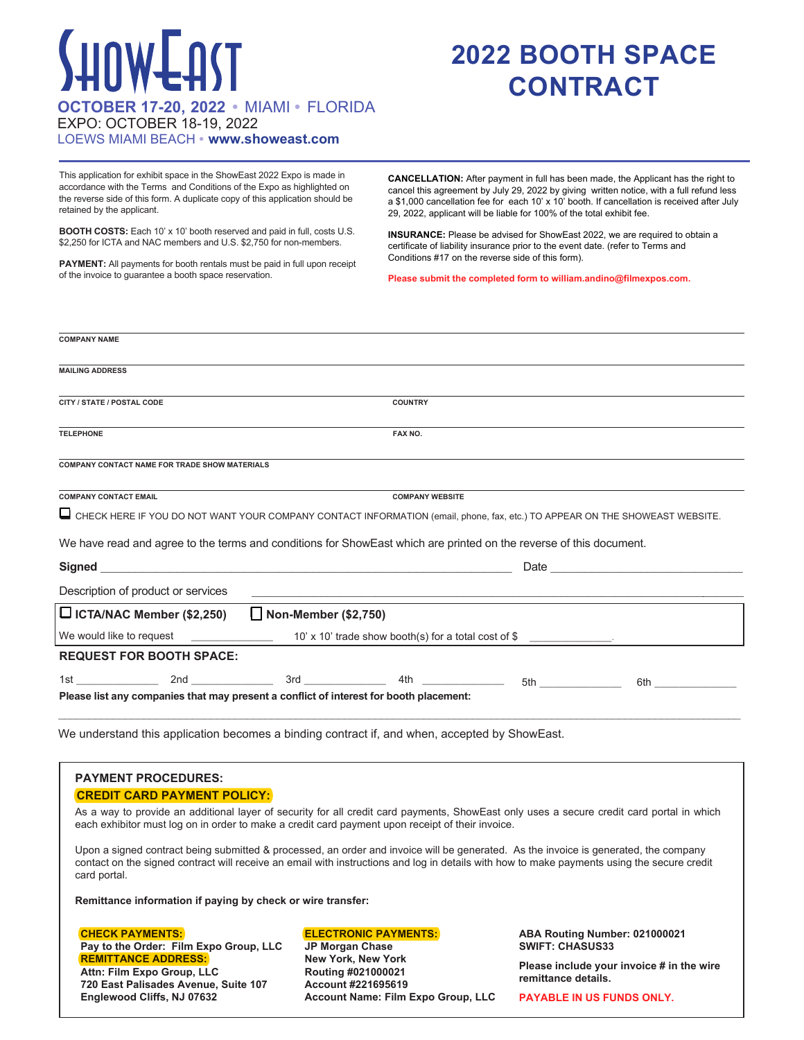# SHOWEAST **OCTOBER 17-20, 2022 •** MIAMI **•** FLORIDA

## **2022 BOOTH SPACE CONTRACT**

EXPO: OCTOBER 18-19, 2022

#### LOEWS MIAMI BEACH **• www.showeast.com**

This application for exhibit space in the ShowEast 2022 Expo is made in accordance with the Terms and Conditions of the Expo as highlighted on the reverse side of this form. A duplicate copy of this application should be retained by the applicant.

**BOOTH COSTS:** Each 10' x 10' booth reserved and paid in full, costs U.S. \$2,250 for ICTA and NAC members and U.S. \$2,750 for non-members.

**PAYMENT:** All payments for booth rentals must be paid in full upon receipt of the invoice to guarantee a booth space reservation.

**CANCELLATION:** After payment in full has been made, the Applicant has the right to cancel this agreement by July 29, 2022 by giving written notice, with a full refund less a \$1,000 cancellation fee for each 10' x 10' booth. If cancellation is received after July 29, 2022, applicant will be liable for 100% of the total exhibit fee.

**INSURANCE:** Please be advised for ShowEast 2022, we are required to obtain a certificate of liability insurance prior to the event date. (refer to Terms and Conditions #17 on the reverse side of this form).

**Please submit the completed form to william.andino@filmexpos.com.** 

| <b>COMPANY NAME</b>                                                                                                         |                        |                                                                                             |                           |                                                                                                                |  |
|-----------------------------------------------------------------------------------------------------------------------------|------------------------|---------------------------------------------------------------------------------------------|---------------------------|----------------------------------------------------------------------------------------------------------------|--|
|                                                                                                                             |                        |                                                                                             |                           |                                                                                                                |  |
| <b>MAILING ADDRESS</b>                                                                                                      |                        |                                                                                             |                           |                                                                                                                |  |
|                                                                                                                             |                        |                                                                                             |                           |                                                                                                                |  |
| CITY / STATE / POSTAL CODE                                                                                                  |                        | <b>COUNTRY</b>                                                                              |                           |                                                                                                                |  |
|                                                                                                                             |                        |                                                                                             |                           |                                                                                                                |  |
| <b>TELEPHONE</b>                                                                                                            |                        | FAX NO.                                                                                     |                           |                                                                                                                |  |
|                                                                                                                             |                        |                                                                                             |                           |                                                                                                                |  |
| COMPANY CONTACT NAME FOR TRADE SHOW MATERIALS                                                                               |                        |                                                                                             |                           |                                                                                                                |  |
|                                                                                                                             |                        |                                                                                             |                           |                                                                                                                |  |
| <b>COMPANY CONTACT EMAIL</b>                                                                                                | <b>COMPANY WEBSITE</b> |                                                                                             |                           |                                                                                                                |  |
| CHECK HERE IF YOU DO NOT WANT YOUR COMPANY CONTACT INFORMATION (email, phone, fax, etc.) TO APPEAR ON THE SHOWEAST WEBSITE. |                        |                                                                                             |                           |                                                                                                                |  |
|                                                                                                                             |                        |                                                                                             |                           |                                                                                                                |  |
| We have read and agree to the terms and conditions for ShowEast which are printed on the reverse of this document.          |                        |                                                                                             |                           |                                                                                                                |  |
|                                                                                                                             |                        |                                                                                             |                           |                                                                                                                |  |
|                                                                                                                             |                        |                                                                                             |                           |                                                                                                                |  |
| Description of product or services                                                                                          |                        |                                                                                             |                           |                                                                                                                |  |
|                                                                                                                             |                        |                                                                                             |                           |                                                                                                                |  |
| □ ICTA/NAC Member (\$2,250) □ Non-Member (\$2,750)                                                                          |                        |                                                                                             |                           |                                                                                                                |  |
|                                                                                                                             |                        | We would like to request $\frac{1}{2}$ 10' x 10' trade show booth(s) for a total cost of \$ |                           |                                                                                                                |  |
| <b>REQUEST FOR BOOTH SPACE:</b>                                                                                             |                        |                                                                                             |                           |                                                                                                                |  |
|                                                                                                                             |                        |                                                                                             | $5th$ $\overline{\qquad}$ | 6th and the state of the state of the state of the state of the state of the state of the state of the state o |  |
|                                                                                                                             |                        |                                                                                             |                           |                                                                                                                |  |
| Please list any companies that may present a conflict of interest for booth placement:                                      |                        |                                                                                             |                           |                                                                                                                |  |
|                                                                                                                             |                        |                                                                                             |                           |                                                                                                                |  |

We understand this application becomes a binding contract if, and when, accepted by ShowEast.

#### **PAYMENT PROCEDURES: CREDIT CARD PAYMENT POLICY:**

As a way to provide an additional layer of security for all credit card payments, ShowEast only uses a secure credit card portal in which each exhibitor must log on in order to make a credit card payment upon receipt of their invoice.

Upon a signed contract being submitted & processed, an order and invoice will be generated. As the invoice is generated, the company contact on the signed contract will receive an email with instructions and log in details with how to make payments using the secure credit card portal.

**Remittance information if paying by check or wire transfer:**

**CHECK PAYMENTS: Pay to the Order: Film Expo Group, LLC REMITTANCE ADDRESS: Attn: Film Expo Group, LLC 720 East Palisades Avenue, Suite 107 Englewood Cliffs, NJ 07632**

#### **ELECTRONIC PAYMENTS:**

**JP Morgan Chase New York, New York Routing #021000021 Account #221695619 Account Name: Film Expo Group, LLC**

#### **ABA Routing Number: 021000021 SWIFT: CHASUS33**

**Please include your invoice # in the wire remittance details.**

**PAYABLE IN US FUNDS ONLY.**